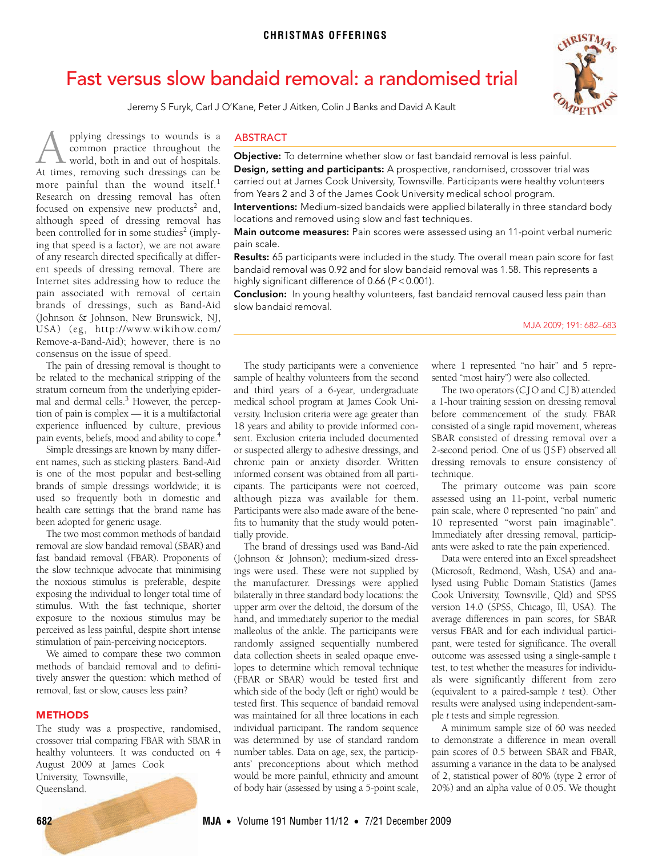# <span id="page-0-0"></span>Fast versus slow bandaid removal: a randomised trial





pplying dressings to wounds is a common practice throughout the world, both in and out of hospitals. pplying dressings to wounds is a common practice throughout the world, both in and out of hospitals.<br>At times, removing such dressings can be more painful than the wound itself.<sup>[1](#page-1-0)</sup> Research on dressing removal has often focused on expensive new products<sup>[2](#page-1-1)</sup> and, although speed of dressing removal has been controlled for in some studies<sup>[2](#page-1-1)</sup> (implying that speed is a factor), we are not aware of any research directed specifically at different speeds of dressing removal. There are Internet sites addressing how to reduce the pain associated with removal of certain brands of dressings, such as Band-Aid (Johnson & Johnson, New Brunswick, NJ, USA) (eg, http://www.wikihow.com/ Remove-a-Band-Aid); however, there is no consensus on the issue of speed.

The pain of dressing removal is thought to be related to the mechanical stripping of the stratum corneum from the underlying epidermal and dermal cells.<sup>3</sup> However, the perception of pain is complex — it is a multifactorial experience influenced by culture, previous pain events, beliefs, mood and ability to cope[.4](#page-1-3)

ent names, such as sticking plasters. Band-Aid ch is one of the most popular and best-se[lling](#page-0-0) i brands of simple dressings worldwide; it is ) cip used so frequently both in domestic and health care settings that the brand name has Simple dressings are known by many differbeen adopted for generic usage.

The two most common methods of bandaid removal are slow bandaid removal (SBAR) and fast bandaid removal (FBAR). Proponents of the slow technique advocate that minimising the noxious stimulus is preferable, despite exposing the individual to longer total time of stimulus. With the fast technique, shorter exposure to the noxious stimulus may be perceived as less painful, despite short intense stimulation of pain-perceiving nociceptors.

We aimed to compare these two common methods of bandaid removal and to definitively answer the question: which method of removal, fast or slow, causes less pain?

#### **METHODS**

The study was a prospective, randomised, crossover trial comparing FBAR with SBAR in healthy volunteers. It was conducted on 4 August 2009 at James Cook University, Townsville, Queensland.

### ABSTRACT

Objective: To determine whether slow or fast bandaid removal is less painful. Design, setting and participants: A prospective, randomised, crossover trial was carried out at James Cook University, Townsville. Participants were healthy volunteers from Years 2 and 3 of the James Cook University medical school program.

Interventions: Medium-sized bandaids were applied bilaterally in three standard body locations and removed using slow and fast techniques.

Main outcome measures: Pain scores were assessed using an 11-point verbal numeric pain scale.

Results: 65 participants were included in the study. The overall mean pain score for fast bandaid removal was 0.92 and for slow bandaid removal was 1.58. This represents a highly significant difference of 0.66 ( $P < 0.001$ ).

Conclusion: In young healthy volunteers, fast bandaid removal caused less pain than slow bandaid removal.

MJA 2009; 191: 682–683

The study participants were a convenience sample of healthy volunteers from the second and third years of a 6-year, undergraduate medical school program at James Cook University. Inclusion criteria were age greater than 18 years and ability to provide informed consent. Exclusion criteria included documented or suspected allergy to adhesive dressings, and chronic pain or anxiety disorder. Written informed consent was obtained from all participants. The participants were not coerced, although pizza was available for them. Participants were also made aware of the benefits to humanity that the study would potentially provide.

The brand of dressings used was Band-Aid (Johnson & Johnson); medium-sized dressings were used. These were not supplied by the manufacturer. Dressings were applied bilaterally in three standard body locations: the upper arm over the deltoid, the dorsum of the hand, and immediately superior to the medial malleolus of the ankle. The participants were randomly assigned sequentially numbered data collection sheets in sealed opaque envelopes to determine which removal technique (FBAR or SBAR) would be tested first and which side of the body (left or right) would be tested first. This sequence of bandaid removal was maintained for all three locations in each individual participant. The random sequence was determined by use of standard random number tables. Data on age, sex, the participants' preconceptions about which method would be more painful, ethnicity and amount of body hair (assessed by using a 5-point scale, where 1 represented "no hair" and 5 represented "most hairy") were also collected.

The two operators (CJO and CJB) attended a 1-hour training session on dressing removal before commencement of the study. FBAR consisted of a single rapid movement, whereas SBAR consisted of dressing removal over a 2-second period. One of us (JSF) observed all dressing removals to ensure consistency of technique.

The primary outcome was pain score assessed using an 11-point, verbal numeric pain scale, where 0 represented "no pain" and 10 represented "worst pain imaginable". Immediately after dressing removal, participants were asked to rate the pain experienced.

Data were entered into an Excel spreadsheet (Microsoft, Redmond, Wash, USA) and analysed using Public Domain Statistics (James Cook University, Townsville, Qld) and SPSS version 14.0 (SPSS, Chicago, Ill, USA). The average differences in pain scores, for SBAR versus FBAR and for each individual participant, were tested for significance. The overall outcome was assessed using a single-sample *t* test, to test whether the measures for individuals were significantly different from zero (equivalent to a paired-sample *t* test). Other results were analysed using independent-sample *t* tests and simple regression.

A minimum sample size of 60 was needed to demonstrate a difference in mean overall pain scores of 0.5 between SBAR and FBAR, assuming a variance in the data to be analysed of 2, statistical power of 80% (type 2 error of 20%) and an alpha value of 0.05. We thought